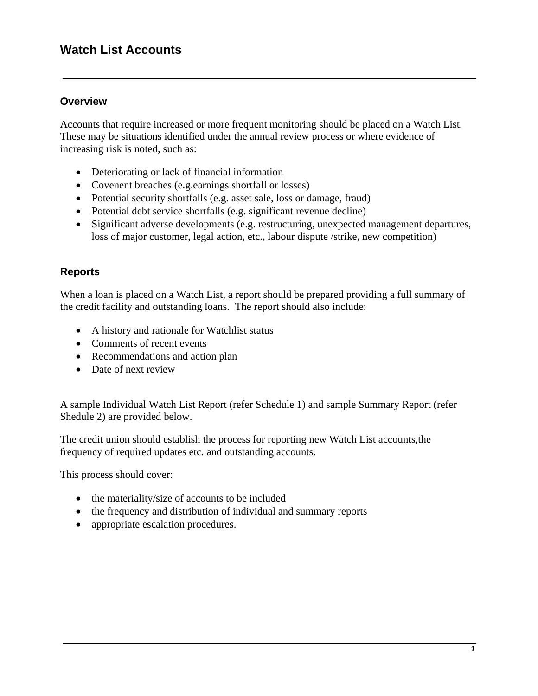## **Watch List Accounts**

## **Overview**

Accounts that require increased or more frequent monitoring should be placed on a Watch List. These may be situations identified under the annual review process or where evidence of increasing risk is noted, such as:

- Deteriorating or lack of financial information
- Covenent breaches (e.g.earnings shortfall or losses)
- Potential security shortfalls (e.g. asset sale, loss or damage, fraud)
- Potential debt service shortfalls (e.g. significant revenue decline)
- Significant adverse developments (e.g. restructuring, unexpected management departures, loss of major customer, legal action, etc., labour dispute /strike, new competition)

## **Reports**

When a loan is placed on a Watch List, a report should be prepared providing a full summary of the credit facility and outstanding loans. The report should also include:

- A history and rationale for Watchlist status
- Comments of recent events
- Recommendations and action plan
- Date of next review

A sample Individual Watch List Report (refer Schedule 1) and sample Summary Report (refer Shedule 2) are provided below.

The credit union should establish the process for reporting new Watch List accounts,the frequency of required updates etc. and outstanding accounts.

This process should cover:

- the materiality/size of accounts to be included
- the frequency and distribution of individual and summary reports
- appropriate escalation procedures.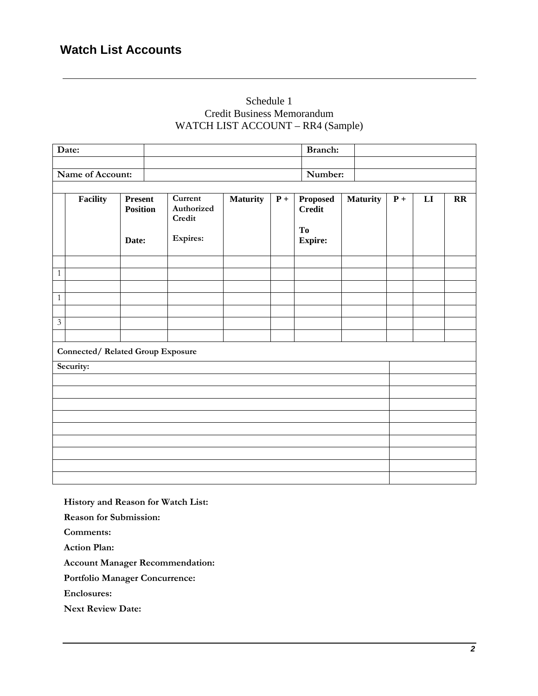## Schedule 1 Credit Business Memorandum WATCH LIST ACCOUNT – RR4 (Sample)

| Date:            |                                   |                                            | Branch:                                     |                 |       |                                                   |                 |       |    |              |  |
|------------------|-----------------------------------|--------------------------------------------|---------------------------------------------|-----------------|-------|---------------------------------------------------|-----------------|-------|----|--------------|--|
| Name of Account: |                                   |                                            | Number:                                     |                 |       |                                                   |                 |       |    |              |  |
|                  | Facility                          | <b>Present</b><br><b>Position</b><br>Date: | Current<br>Authorized<br>Credit<br>Expires: | <b>Maturity</b> | $P +$ | Proposed<br><b>Credit</b><br>To<br><b>Expire:</b> | <b>Maturity</b> | $P +$ | LI | $\mathbf{R}$ |  |
| $\mathbf{1}$     |                                   |                                            |                                             |                 |       |                                                   |                 |       |    |              |  |
| $1\,$            |                                   |                                            |                                             |                 |       |                                                   |                 |       |    |              |  |
| $\overline{3}$   |                                   |                                            |                                             |                 |       |                                                   |                 |       |    |              |  |
|                  |                                   |                                            |                                             |                 |       |                                                   |                 |       |    |              |  |
|                  | Connected/ Related Group Exposure |                                            |                                             |                 |       |                                                   |                 |       |    |              |  |
|                  | Security:                         |                                            |                                             |                 |       |                                                   |                 |       |    |              |  |
|                  |                                   |                                            |                                             |                 |       |                                                   |                 |       |    |              |  |
|                  |                                   |                                            |                                             |                 |       |                                                   |                 |       |    |              |  |
|                  |                                   |                                            |                                             |                 |       |                                                   |                 |       |    |              |  |
|                  |                                   |                                            |                                             |                 |       |                                                   |                 |       |    |              |  |
|                  |                                   |                                            |                                             |                 |       |                                                   |                 |       |    |              |  |
|                  |                                   |                                            |                                             |                 |       |                                                   |                 |       |    |              |  |
|                  |                                   |                                            |                                             |                 |       |                                                   |                 |       |    |              |  |

**History and Reason for Watch List:** 

**Reason for Submission:** 

**Comments:** 

**Action Plan:** 

**Account Manager Recommendation:** 

**Portfolio Manager Concurrence:** 

**Enclosures:** 

**Next Review Date:**